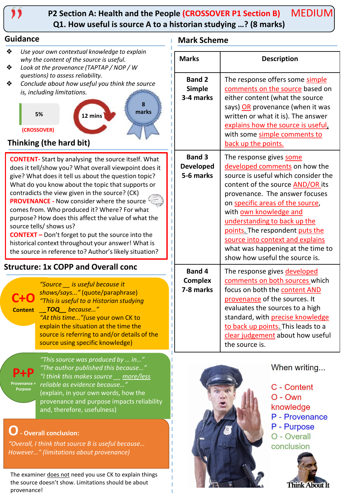

#### **P2 Section A: Health and the People (CROSSOVER P1 Section B) Q1. How useful is source A to a historian studying …? (8 marks)** MEDIUM

#### **Guidance Mark Scheme**

- ❖ *Use your own contextual knowledge to explain why the content of the source is useful.*
- ❖ *Look at the provenance (TAPTAP / NOP / W questions) to assess reliability.*
- ❖ *Conclude about how useful you think the source is, including limitations.*



# **Thinking (the hard bit)**

**CONTENT-** Start by analysing the source itself. What does it tell/show you? What overall viewpoint does it give? What does it tell us about the question topic? What do you know about the topic that supports or contradicts the view given in the source? (CK) **PROVENANCE -** Now consider where the source comes from. Who produced it? Where? For what purpose? How does this affect the value of what the source tells/ shows us?

**CONTEXT –** Don't forget to put the source into the historical context throughout your answer! What is the source in reference to? Author's likely situation?

# **Structure: 1x COPP and Overall conc**

**C+O**

**Content** *\_\_TOQ\_\_ because…" "Source \_\_ is useful because it shows/says..."* (quote/paraphrase) *"This is useful to a Historian studying "At this time..."(*use your own CK to

explain the situation at the time the source is referring to and/or details of the source using specific knowledge)

**P+P Provenance + Purpose**

*"This source was produced by … in…" "The author published this because…" "I think this makes source \_\_ more/less reliable as evidence because…"* (explain, in your own words, how the provenance and purpose impacts reliability and, therefore, usefulness)

# **O- Overall conclusion:**

*"Overall, I think that source B is useful because… However…" (limitations about provenance)*

The examiner does not need you use CK to explain things the source doesn't show. Limitations should be about provenance!

| <b>Marks</b>                                   | <b>Description</b>                                                                                                                                                                                                                                                                                                                                                                                                |  |  |  |  |
|------------------------------------------------|-------------------------------------------------------------------------------------------------------------------------------------------------------------------------------------------------------------------------------------------------------------------------------------------------------------------------------------------------------------------------------------------------------------------|--|--|--|--|
| <b>Band 2</b><br><b>Simple</b><br>3-4 marks    | The response offers some simple<br>comments on the source based on<br>either content (what the source<br>says) OR provenance (when it was<br>written or what it is). The answer<br>explains how the source is useful,<br>with some simple comments to<br>back up the points.                                                                                                                                      |  |  |  |  |
| <b>Band 3</b><br><b>Developed</b><br>5-6 marks | The response gives some<br>developed comments on how the<br>source is useful which consider the<br>content of the source AND/OR its<br>provenance. The answer focuses<br>on specific areas of the source,<br>with own knowledge and<br>understanding to back up the<br>points. The respondent puts the<br>source into context and explains<br>what was happening at the time to<br>show how useful the source is. |  |  |  |  |
| <b>Band 4</b><br><b>Complex</b><br>7-8 marks   | The response gives developed<br>comments on both sources which<br>focus on both the content AND<br>provenance of the sources. It<br>evaluates the sources to a high<br>standard, with precise knowledge<br>to back up points. This leads to a<br>clear judgement about how useful<br>the source is.                                                                                                               |  |  |  |  |



When writing...

C - Content  $O - Own$ knowledge P - Provenance P - Purpose O - Overall conclusion

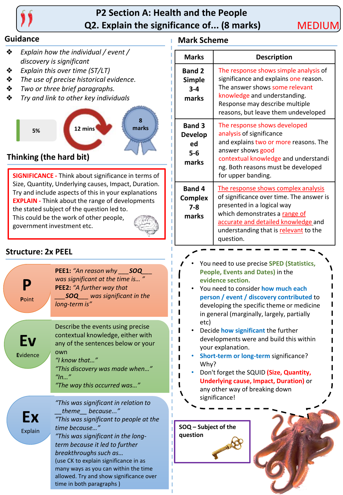

# **P2 Section A: Health and the People Q2. Explain the significance of... (8 marks)**

- ❖ *Explain how the individual / event / discovery is significant*
- ❖ *Explain this over time (ST/LT)*
- ❖ *The use of precise historical evidence.*
- ❖ *Two or three brief paragraphs.*
- ❖ *Try and link to other key individuals*



# **Thinking (the hard bit)**

**SIGNIFICANCE -** Think about significance in terms of Size, Quantity, Underlying causes, Impact, Duration. Try and include aspects of this in your explanations **EXPLAIN -** Think about the range of developments the stated subject of the question led to. This could be the work of other people,

government investment etc.



# **Structure: 2x PEEL**

**P P**oint **PEE1:** *"An reason why \_\_\_SOQ\_\_\_ was significant at the time is… "* **PEE2:** *"A further way that \_\_\_SOQ\_\_\_ was significant in the long-term is"* **Ev E**vidence Describe the events using precise contextual knowledge, either with any of the sentences below or your own *"I know that…" "This discovery was made when…" "In…" "The way this occurred was…"* **Ex** Explain *"This was significant in relation to \_\_theme\_\_ because..." "This was significant to people at the time because…" "This was significant in the longterm because it led to further breakthroughs such as…* (use CK to explain significance in as

many ways as you can within the time allowed. Try and show significance over time in both paragraphs )

# **Guidance Mark Scheme**

| <b>Marks</b>                                          | <b>Description</b>                                                                                                                                                                                                                          |  |  |  |
|-------------------------------------------------------|---------------------------------------------------------------------------------------------------------------------------------------------------------------------------------------------------------------------------------------------|--|--|--|
| <b>Band 2</b><br><b>Simple</b><br>$3 - 4$<br>marks    | The response shows simple analysis of<br>significance and explains one reason.<br>The answer shows some relevant<br>knowledge and understanding.<br>Response may describe multiple<br>reasons, but leave them undeveloped                   |  |  |  |
| <b>Band 3</b><br><b>Develop</b><br>ed<br>5-6<br>marks | The response shows developed<br>analysis of significance<br>and explains two or more reasons. The<br>answer shows good<br>contextual knowledge and understandi<br>ng. Both reasons must be developed<br>for upper banding.                  |  |  |  |
| <b>Band 4</b><br><b>Complex</b><br>$7 - 8$<br>marks   | The response shows complex analysis<br>of significance over time. The answer is<br>presented in a logical way<br>which demonstrates a range of<br>accurate and detailed knowledge and<br>understanding that is relevant to the<br>question. |  |  |  |

- You need to use precise **SPED (Statistics, People, Events and Dates)** in the **evidence section.**
- You need to consider **how much each person / event / discovery contributed** to developing the specific theme or medicine in general (marginally, largely, partially etc)
- Decide **how significant** the further developments were and build this within your explanation.
- **Short-term or long-term** significance? Why?
- Don't forget the SQUID **(Size, Quantity, Underlying cause, Impact, Duration)** or any other way of breaking down significance!

**SOQ – Subject of the question**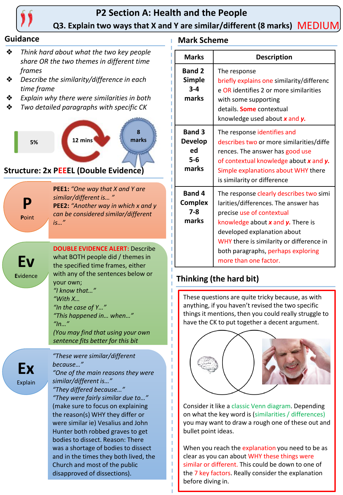

# **P2 Section A: Health and the People Q3. Explain two ways that X and Y are similar/different (8 marks)** MEDIUM

- ❖ *Think hard about what the two key people share OR the two themes in different time frames*
- ❖ *Describe the similarity/difference in each time frame*
- ❖ *Explain why there were similarities in both*
- ❖ *Two detailed paragraphs with specific CK*



### **Structure: 2x PEEEL (Double Evidence)**

**PEE1:** *"One way that X and Y are similar/different is… "* **PEE2:** *"Another way in which x and y can be considered similar/different is…"*

**Ev E**vidence

**P**

**P**oint

**DOUBLE EVIDENCE ALERT:** Describe what BOTH people did / themes in the specified time frames, either with any of the sentences below or your own; *"I know that…" "With X… "In the case of Y…" "This happened in… when…" "In…" (You may find that using your own* 

*sentence fits better for this bit*

*"These were similar/different* 

**Ex** Explain *because…" "One of the main reasons they were similar/different is…" "They differed because…" "They were fairly similar due to…"* (make sure to focus on explaining the reason(s) WHY they differ or were similar ie) Vesalius and John Hunter both robbed graves to get bodies to dissect. Reason: There was a shortage of bodies to dissect and in the times they both lived, the Church and most of the public disapproved of dissections).

# **Guidance Mark Scheme**

| <b>Marks</b>                                            | <b>Description</b>                                                                                                                                                                                                                                                                          |  |  |
|---------------------------------------------------------|---------------------------------------------------------------------------------------------------------------------------------------------------------------------------------------------------------------------------------------------------------------------------------------------|--|--|
| <b>Band 2</b><br><b>Simple</b><br>$3 - 4$<br>marks      | The response<br>briefly explains one similarity/differenc<br>e OR identifies 2 or more similarities<br>with some supporting<br>details. <b>Some</b> contextual<br>knowledge used about x and y.                                                                                             |  |  |
| <b>Band 3</b><br><b>Develop</b><br>ed<br>$5-6$<br>marks | The response identifies and<br>describes two or more similarities/diffe<br>rences. The answer has good use<br>of contextual knowledge about x and y.<br>Simple explanations about WHY there<br>is similarity or difference                                                                  |  |  |
| <b>Band 4</b><br><b>Complex</b><br>7-8<br>marks         | The response clearly describes two simi<br>larities/differences. The answer has<br>precise use of contextual<br>knowledge about x and y. There is<br>developed explanation about<br>WHY there is similarity or difference in<br>both paragraphs, perhaps exploring<br>more than one factor. |  |  |

# **Thinking (the hard bit)**

These questions are quite tricky because, as with anything, if you haven't revised the two specific things it mentions, then you could really struggle to have the CK to put together a decent argument.



Consider it like a classic Venn diagram. Depending on what the key word is (similarities / differences) you may want to draw a rough one of these out and bullet point ideas.

When you reach the explanation you need to be as clear as you can about WHY these things were similar or different. This could be down to one of the 7 key factors. Really consider the explanation before diving in.